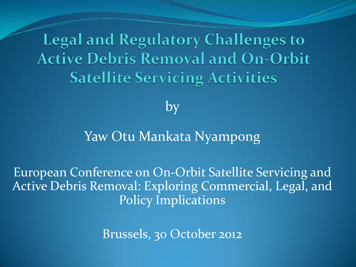**Legal and Regulatory Challenges to Active Debris Removal and On-Orbit Satellite Servicing Activities** 

by

#### Yaw Otu Mankata Nyampong

European Conference on On-Orbit Satellite Servicing and Active Debris Removal: Exploring Commercial, Legal, and Policy Implications

Brussels, 30 October 2012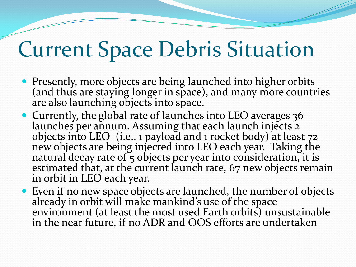#### Current Space Debris Situation

- Presently, more objects are being launched into higher orbits (and thus are staying longer in space), and many more countries are also launching objects into space.
- Currently, the global rate of launches into LEO averages 36 launches per annum. Assuming that each launch injects 2 objects into LEO (i.e., 1 payload and 1 rocket body) at least 72 new objects are being injected into LEO each year. Taking the natural decay rate of 5 objects per year into consideration, it is estimated that, at the current launch rate, 67 new objects remain in orbit in LEO each year.
- Even if no new space objects are launched, the number of objects already in orbit will make mankind's use of the space environment (at least the most used Earth orbits) unsustainable in the near future, if no ADR and OOS efforts are undertaken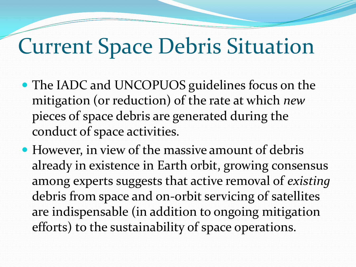## Current Space Debris Situation

- The IADC and UNCOPUOS guidelines focus on the mitigation (or reduction) of the rate at which *new* pieces of space debris are generated during the conduct of space activities.
- However, in view of the massive amount of debris already in existence in Earth orbit, growing consensus among experts suggests that active removal of *existing*  debris from space and on-orbit servicing of satellites are indispensable (in addition to ongoing mitigation efforts) to the sustainability of space operations.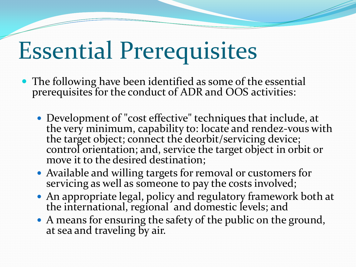## Essential Prerequisites

- The following have been identified as some of the essential prerequisites for the conduct of ADR and OOS activities:
	- Development of "cost effective" techniques that include, at the very minimum, capability to: locate and rendez-vous with the target object; connect the deorbit/servicing device; control orientation; and, service the target object in orbit or move it to the desired destination;
	- Available and willing targets for removal or customers for servicing as well as someone to pay the costs involved;
	- An appropriate legal, policy and regulatory framework both at the international, regional and domestic levels; and
	- A means for ensuring the safety of the public on the ground, at sea and traveling by air.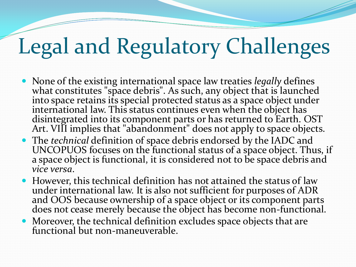## Legal and Regulatory Challenges

- None of the existing international space law treaties *legally* defines what constitutes "space debris". As such, any object that is launched into space retains its special protected status as a space object under international law. This status continues even when the object has disintegrated into its component parts or has returned to Earth. OST Art. VIII implies that "abandonment" does not apply to space objects.
- The *technical* definition of space debris endorsed by the IADC and UNCOPUOS focuses on the functional status of a space object. Thus, if a space object is functional, it is considered not to be space debris and *vice versa*.
- However, this technical definition has not attained the status of law under international law. It is also not sufficient for purposes of ADR and OOS because ownership of a space object or its component parts does not cease merely because the object has become non-functional.
- Moreover, the technical definition excludes space objects that are functional but non-maneuverable.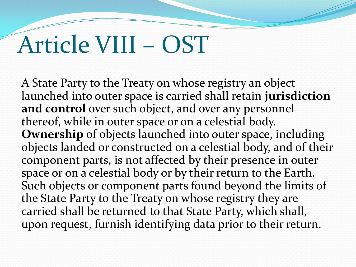## Article VIII – OST

A State Party to the Treaty on whose registry an object launched into outer space is carried shall retain **jurisdiction and control** over such object, and over any personnel thereof, while in outer space or on a celestial body. **Ownership** of objects launched into outer space, including objects landed or constructed on a celestial body, and of their component parts, is not affected by their presence in outer space or on a celestial body or by their return to the Earth. Such objects or component parts found beyond the limits of the State Party to the Treaty on whose registry they are carried shall be returned to that State Party, which shall, upon request, furnish identifying data prior to their return.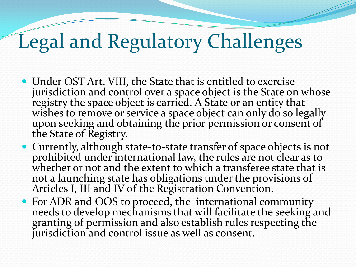## Legal and Regulatory Challenges

- Under OST Art. VIII, the State that is entitled to exercise jurisdiction and control over a space object is the State on whose registry the space object is carried. A State or an entity that wishes to remove or service a space object can only do so legally upon seeking and obtaining the prior permission or consent of the State of Registry.
- Currently, although state-to-state transfer of space objects is not prohibited under international law, the rules are not clear as to whether or not and the extent to which a transferee state that is not a launching state has obligations under the provisions of Articles I, III and IV of the Registration Convention.
- For ADR and OOS to proceed, the international community needs to develop mechanisms that will facilitate the seeking and granting of permission and also establish rules respecting the jurisdiction and control issue as well as consent.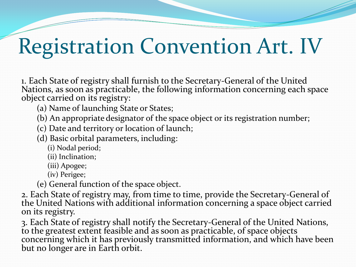## Registration Convention Art. IV

1. Each State of registry shall furnish to the Secretary-General of the United Nations, as soon as practicable, the following information concerning each space object carried on its registry:

(a) Name of launching State or States;

(b) An appropriate designator of the space object or its registration number;

(c) Date and territory or location of launch;

(d) Basic orbital parameters, including:

(i) Nodal period;

(ii) Inclination;

(iii) Apogee;

(iv) Perigee;

(e) General function of the space object.

2. Each State of registry may, from time to time, provide the Secretary-General of the United Nations with additional information concerning a space object carried on its registry.

3. Each State of registry shall notify the Secretary-General of the United Nations, to the greatest extent feasible and as soon as practicable, of space objects concerning which it has previously transmitted information, and which have been but no longer are in Earth orbit.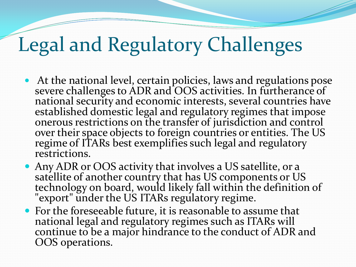## Legal and Regulatory Challenges

- At the national level, certain policies, laws and regulations pose severe challenges to ADR and OOS activities. In furtherance of national security and economic interests, several countries have established domestic legal and regulatory regimes that impose onerous restrictions on the transfer of jurisdiction and control over their space objects to foreign countries or entities. The US regime of ITARs best exemplifies such legal and regulatory restrictions.
- Any ADR or OOS activity that involves a US satellite, or a satellite of another country that has US components or US technology on board, would likely fall within the definition of "export" under the US ITARs regulatory regime.
- For the foreseeable future, it is reasonable to assume that national legal and regulatory regimes such as ITARs will continue to be a major hindrance to the conduct of ADR and OOS operations.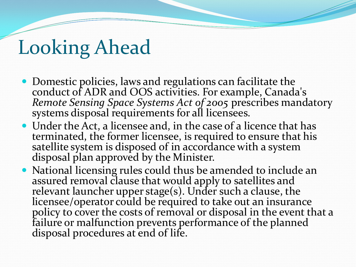#### Looking Ahead

- Domestic policies, laws and regulations can facilitate the conduct of ADR and OOS activities. For example, Canada's *Remote Sensing Space Systems Act of 2005* prescribes mandatory systems disposal requirements for all licensees.
- Under the Act, a licensee and, in the case of a licence that has terminated, the former licensee, is required to ensure that his satellite system is disposed of in accordance with a system disposal plan approved by the Minister.
- National licensing rules could thus be amended to include an assured removal clause that would apply to satellites and relevant launcher upper stage(s). Under such a clause, the licensee/operator could be required to take out an insurance policy to cover the costs of removal or disposal in the event that a failure or malfunction prevents performance of the planned disposal procedures at end of life.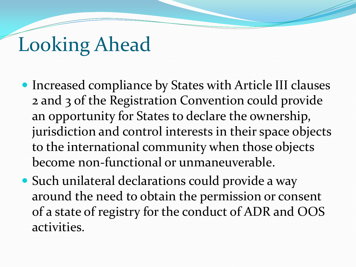#### Looking Ahead

- Increased compliance by States with Article III clauses 2 and 3 of the Registration Convention could provide an opportunity for States to declare the ownership, jurisdiction and control interests in their space objects to the international community when those objects become non-functional or unmaneuverable.
- Such unilateral declarations could provide a way around the need to obtain the permission or consent of a state of registry for the conduct of ADR and OOS activities.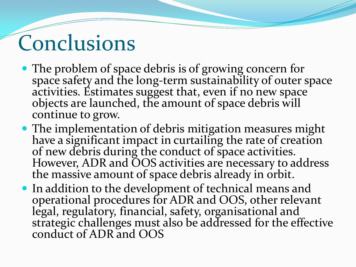## Conclusions

- The problem of space debris is of growing concern for space safety and the long-term sustainability of outer space activities. Estimates suggest that, even if no new space objects are launched, the amount of space debris will continue to grow.
- The implementation of debris mitigation measures might have a significant impact in curtailing the rate of creation of new debris during the conduct of space activities. However, ADR and OOS activities are necessary to address the massive amount of space debris already in orbit.
- In addition to the development of technical means and operational procedures for ADR and OOS, other relevant legal, regulatory, financial, safety, organisational and strategic challenges must also be addressed for the effective conduct of ADR and OOS